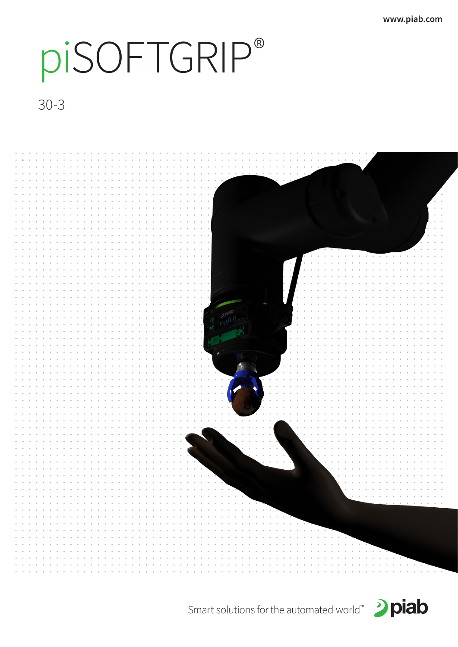# piSOFTGRIP®

30-3





Smart solutions for the automated world™ 2 piab